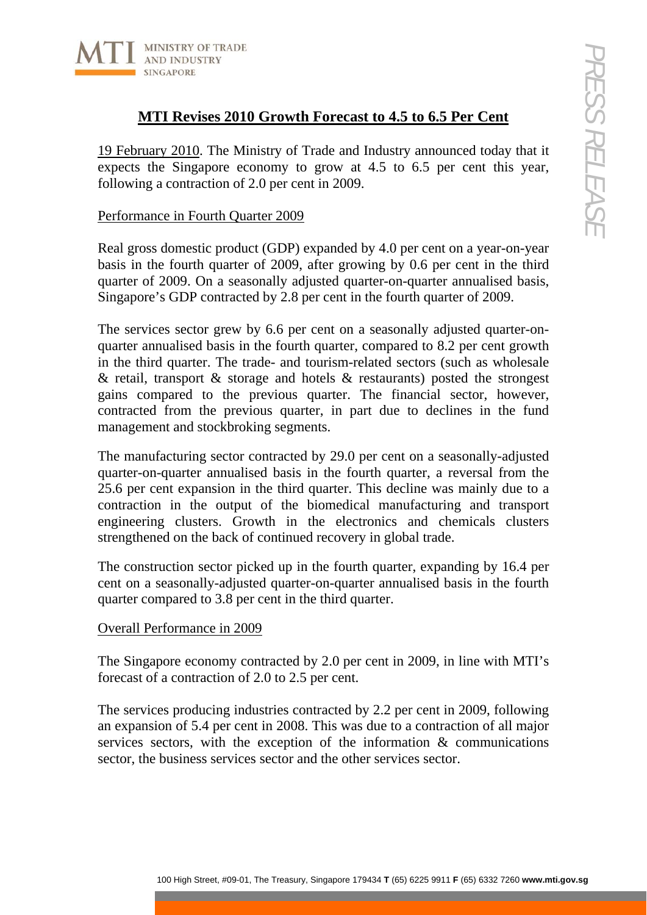

# **MTI Revises 2010 Growth Forecast to 4.5 to 6.5 Per Cent**

19 February 2010. The Ministry of Trade and Industry announced today that it expects the Singapore economy to grow at 4.5 to 6.5 per cent this year, following a contraction of 2.0 per cent in 2009.

### Performance in Fourth Quarter 2009

Real gross domestic product (GDP) expanded by 4.0 per cent on a year-on-year basis in the fourth quarter of 2009, after growing by 0.6 per cent in the third quarter of 2009. On a seasonally adjusted quarter-on-quarter annualised basis, Singapore's GDP contracted by 2.8 per cent in the fourth quarter of 2009.

**1100 High Street, 1200** Crowth Forecast to 4.5 to 6.5 Per Cent<br>
171 Revises 2010 Growth Forecast and Industry amounced today that it<br>
commention of 2.0 per cent in 2009.<br>
ce in Founding Computed by 4.0 per cent in a year The services sector grew by 6.6 per cent on a seasonally adjusted quarter-onquarter annualised basis in the fourth quarter, compared to 8.2 per cent growth in the third quarter. The trade- and tourism-related sectors (such as wholesale  $\&$  retail, transport  $\&$  storage and hotels  $\&$  restaurants) posted the strongest gains compared to the previous quarter. The financial sector, however, contracted from the previous quarter, in part due to declines in the fund management and stockbroking segments.

The manufacturing sector contracted by 29.0 per cent on a seasonally-adjusted quarter-on-quarter annualised basis in the fourth quarter, a reversal from the 25.6 per cent expansion in the third quarter. This decline was mainly due to a contraction in the output of the biomedical manufacturing and transport engineering clusters. Growth in the electronics and chemicals clusters strengthened on the back of continued recovery in global trade.

The construction sector picked up in the fourth quarter, expanding by 16.4 per cent on a seasonally-adjusted quarter-on-quarter annualised basis in the fourth quarter compared to 3.8 per cent in the third quarter.

# Overall Performance in 2009

The Singapore economy contracted by 2.0 per cent in 2009, in line with MTI's forecast of a contraction of 2.0 to 2.5 per cent.

The services producing industries contracted by 2.2 per cent in 2009, following an expansion of 5.4 per cent in 2008. This was due to a contraction of all major services sectors, with the exception of the information & communications sector, the business services sector and the other services sector.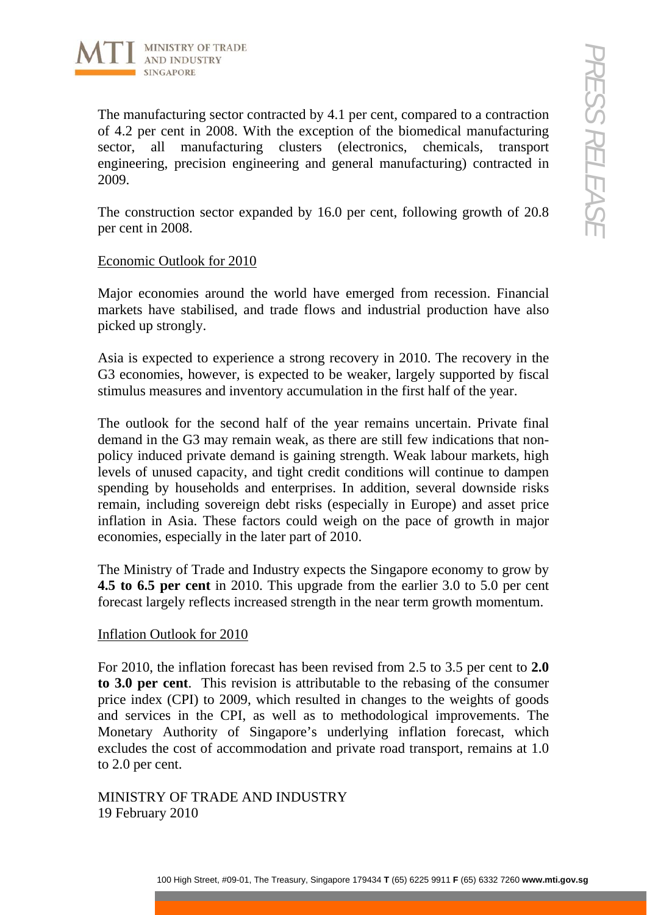

The manufacturing sector contracted by 4.1 per cent, compared to a contraction of 4.2 per cent in 2008. With the exception of the biomedical manufacturing sector, all manufacturing clusters (electronics, chemicals, transport engineering, precision engineering and general manufacturing) contracted in 2009.

The construction sector expanded by 16.0 per cent, following growth of 20.8 per cent in 2008.

# Economic Outlook for 2010

Major economies around the world have emerged from recession. Financial markets have stabilised, and trade flows and industrial production have also picked up strongly.

Asia is expected to experience a strong recovery in 2010. The recovery in the G3 economies, however, is expected to be weaker, largely supported by fiscal stimulus measures and inventory accumulation in the first half of the year.

**Example 100** Street (also section of the street) of the biomedical manufacturing score contrined by 4.1 per cent in Street<br>
2. The manufacturing contracted in the manufacturing contracted in the manufacturing contracted i The outlook for the second half of the year remains uncertain. Private final demand in the G3 may remain weak, as there are still few indications that nonpolicy induced private demand is gaining strength. Weak labour markets, high levels of unused capacity, and tight credit conditions will continue to dampen spending by households and enterprises. In addition, several downside risks remain, including sovereign debt risks (especially in Europe) and asset price inflation in Asia. These factors could weigh on the pace of growth in major economies, especially in the later part of 2010.

The Ministry of Trade and Industry expects the Singapore economy to grow by **4.5 to 6.5 per cent** in 2010. This upgrade from the earlier 3.0 to 5.0 per cent forecast largely reflects increased strength in the near term growth momentum.

# Inflation Outlook for 2010

For 2010, the inflation forecast has been revised from 2.5 to 3.5 per cent to **2.0 to 3.0 per cent**. This revision is attributable to the rebasing of the consumer price index (CPI) to 2009, which resulted in changes to the weights of goods and services in the CPI, as well as to methodological improvements. The Monetary Authority of Singapore's underlying inflation forecast, which excludes the cost of accommodation and private road transport, remains at 1.0 to 2.0 per cent.

MINISTRY OF TRADE AND INDUSTRY 19 February 2010